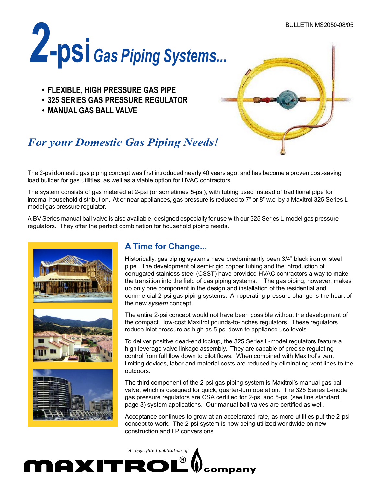

- **FLEXIBLE, HIGH PRESSURE GAS PIPE**
- **325 SERIES GAS PRESSURE REGULATOR**
- **MANUAL GAS BALL VALVE**



# *For your Domestic Gas Piping Needs!*

The 2-psi domestic gas piping concept was first introduced nearly 40 years ago, and has become a proven cost-saving load builder for gas utilities, as well as a viable option for HVAC contractors.

The system consists of gas metered at 2-psi (or sometimes 5-psi), with tubing used instead of traditional pipe for internal household distribution. At or near appliances, gas pressure is reduced to 7" or 8" w.c. by a Maxitrol 325 Series Lmodel gas pressure regulator.

A BV Series manual ball valve is also available, designed especially for use with our 325 Series L-model gas pressure regulators. They offer the perfect combination for household piping needs.



## **A Time for Change...**

Historically, gas piping systems have predominantly been 3/4" black iron or steel pipe. The development of semi-rigid copper tubing and the introduction of corrugated stainless steel (CSST) have provided HVAC contractors a way to make the transition into the field of gas piping systems. The gas piping, however, makes up only one component in the design and installation of the residential and commercial 2-psi gas piping systems. An operating pressure change is the heart of the new *system* concept.

The entire 2-psi concept would not have been possible without the development of the compact, low-cost Maxitrol pounds-to-inches regulators. These regulators reduce inlet pressure as high as 5-psi down to appliance use levels.

To deliver positive dead-end lockup, the 325 Series L-model regulators feature a high leverage valve linkage assembly. They are capable of precise regulating control from full flow down to pilot flows. When combined with Maxitrol's vent limiting devices, labor and material costs are reduced by eliminating vent lines to the outdoors.

The third component of the 2-psi gas piping system is Maxitrol's manual gas ball valve, which is designed for quick, quarter-turn operation. The 325 Series L-model gas pressure regulators are CSA certified for 2-psi and 5-psi (see line standard, page 3) system applications. Our manual ball valves are certified as well.

Acceptance continues to grow at an accelerated rate, as more utilities put the 2-psi concept to work. The 2-psi system is now being utilized worldwide on new construction and LP conversions.

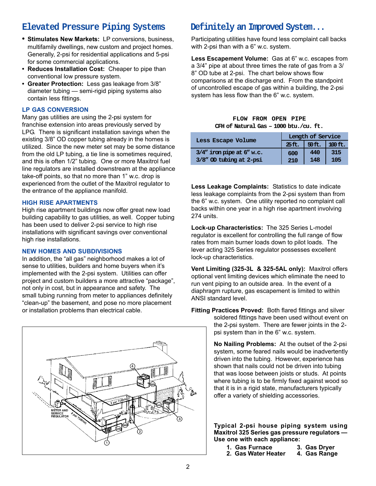### **Elevated Pressure Piping Systems**

- **• Stimulates New Markets:** LP conversions, business, multifamily dwellings, new custom and project homes. Generally, 2-psi for residential applications and 5-psi for some commercial applications.
- **Reduces Installation Cost:** Cheaper to pipe than conventional low pressure system.
- **Greater Protection:** Less gas leakage from 3/8" diameter tubing — semi-rigid piping systems also contain less fittings.

### **LP GAS CONVERSION**

Many gas utilities are using the 2-psi system for franchise extension into areas previously served by LPG. There is significant installation savings when the existing 3/8" OD copper tubing already in the homes is utilized. Since the new meter set may be some distance from the old LP tubing, a tie line is sometimes required, and this is often 1/2" tubing. One or more Maxitrol fuel line regulators are installed downstream at the appliance take-off points, so that no more than 1" w.c. drop is experienced from the outlet of the Maxitrol regulator to the entrance of the appliance manifold.

### **HIGH RISE APARTMENTS**

High rise apartment buildings now offer great new load building capability to gas utilities, as well. Copper tubing has been used to deliver 2-psi service to high rise installations with significant savings over conventional high rise installations.

#### **NEW HOMES AND SUBDIVISIONS**

In addition, the "all gas" neighborhood makes a lot of sense to utilities, builders and home buyers when it's implemented with the 2-psi system. Utilities can offer project and custom builders a more attractive "package", not only in cost, but in appearance and safety. The small tubing running from meter to appliances definitely "clean-up" the basement, and pose no more placement or installation problems than electrical cable.



### **Definitely an Improved System...**

Participating utilities have found less complaint call backs with 2-psi than with a 6" w.c. system.

**Less Escapement Volume:** Gas at 6" w.c. escapes from a 3/4" pipe at about three times the rate of gas from a 3/ 8" OD tube at 2-psi. The chart below shows flow comparisons at the discharge end. From the standpoint of uncontrolled escape of gas within a building, the 2-psi system has less flow than the 6" w.c. system.

#### **FLOW FROM OPEN PIPE CFH of Natural Gas – 1000 btu./cu. ft.**

| Less Escape Volume              | Length of Service |          |           |
|---------------------------------|-------------------|----------|-----------|
|                                 | $25$ ft.          | $50$ ft. | $100$ ft. |
| $3/4$ " iron pipe at $6$ " w.c. | 600               | 440      | 315       |
| 3/8" OD tubing at 2-psi         | 210               | 148      | 105       |

**Less Leakage Complaints:** Statistics to date indicate less leakage complaints from the 2-psi system than from the 6" w.c. system. One utility reported no complaint call backs within one year in a high rise apartment involving 274 units.

**Lock-up Characteristics:** The 325 Series L-model regulator is excellent for controlling the full range of flow rates from main burner loads down to pilot loads. The lever acting 325 Series regulator possesses excellent lock-up characteristics.

**Vent Limiting (325-3L & 325-5AL only):** Maxitrol offers optional vent limiting devices which eliminate the need to run vent piping to an outside area. In the event of a diaphragm rupture, gas escapement is limited to within ANSI standard level.

**Fitting Practices Proved:** Both flared fittings and silver soldered fittings have been used without event on the 2-psi system. There are fewer joints in the 2 psi system than in the 6" w.c. system.

> **No Nailing Problems:** At the outset of the 2-psi system, some feared nails would be inadvertently driven into the tubing. However, experience has shown that nails could not be driven into tubing that was loose between joists or studs. At points where tubing is to be firmly fixed against wood so that it is in a rigid state, manufacturers typically offer a variety of shielding accessories.

> **Typical 2-psi house piping system using Maxitrol 325 Series gas pressure regulators — Use one with each appliance:**

- **1. Gas Furnace 3. Gas Dryer 2. Gas Water Heater**
- 2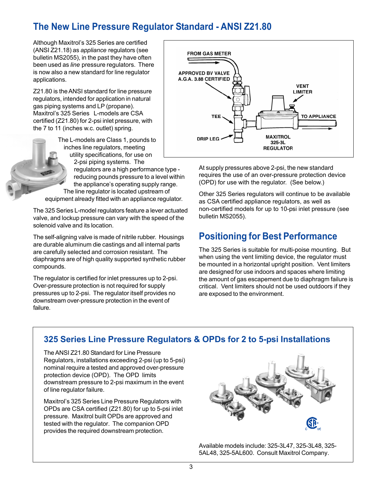# **The New Line Pressure Regulator Standard - ANSI Z21.80**

Although Maxitrol's 325 Series are certified (ANSI Z21.18) as *appliance* regulators (see bulletin MS2055), in the past they have often been used as *line* pressure regulators. There is now also a new standard for line regulator applications.

Z21.80 is the ANSI standard for line pressure regulators, intended for application in natural gas piping systems and LP (propane). Maxitrol's 325 Series L-models are CSA certified (Z21.80) for 2-psi inlet pressure, with the 7 to 11 (inches w.c. outlet) spring.

The L-models are Class 1, pounds to inches line regulators, meeting utility specifications, for use on 2-psi piping systems. The regulators are a high performance type reducing pounds pressure to a level within the appliance's operating supply range. The line regulator is located upstream of equipment already fitted with an appliance regulator.

> The 325 Series L-model regulators feature a lever actuated valve, and lockup pressure can vary with the speed of the solenoid valve and its location.

The self-aligning valve is made of nitrile rubber. Housings are durable aluminum die castings and all internal parts are carefully selected and corrosion resistant. The diaphragms are of high quality supported synthetic rubber compounds.

The regulator is certified for inlet pressures up to 2-psi. Over-pressure protection is not required for supply pressures up to 2-psi. The regulator itself provides no downstream over-pressure protection in the event of failure.



At supply pressures above 2-psi, the new standard requires the use of an over-pressure protection device (OPD) for use with the regulator. (See below.)

Other 325 Series regulators will continue to be available as CSA certified appliance regulators, as well as non-certified models for up to 10-psi inlet pressure (see bulletin MS2055).

# **Positioning for Best Performance**

The 325 Series is suitable for multi-poise mounting. But when using the vent limiting device, the regulator must be mounted in a horizontal upright position. Vent limiters are designed for use indoors and spaces where limiting the amount of gas escapement due to diaphragm failure is critical. Vent limiters should not be used outdoors if they are exposed to the environment.

### **325 Series Line Pressure Regulators & OPDs for 2 to 5-psi Installations**

The ANSI Z21.80 Standard for Line Pressure Regulators, installations exceeding 2-psi (up to 5-psi) nominal require a tested and approved over-pressure protection device (OPD). The OPD limits downstream pressure to 2-psi maximum in the event of line regulator failure.

Maxitrol's 325 Series Line Pressure Regulators with OPDs are CSA certified (Z21.80) for up to 5-psi inlet pressure. Maxitrol built OPDs are approved and tested with the regulator. The companion OPD provides the required downstream protection.



Available models include: 325-3L47, 325-3L48, 325- 5AL48, 325-5AL600. Consult Maxitrol Company.